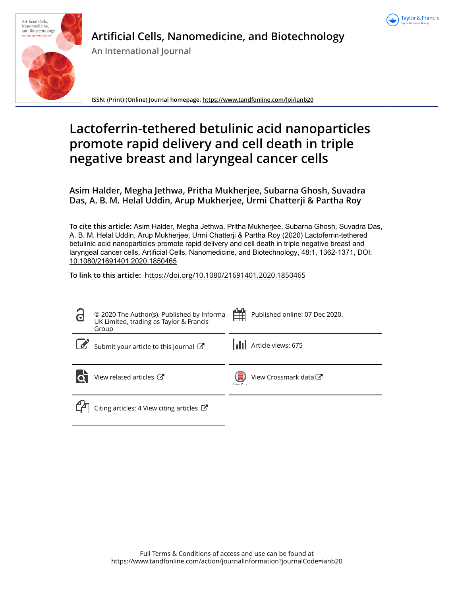



**Artificial Cells, Nanomedicine, and Biotechnology**

**An International Journal**

**ISSN: (Print) (Online) Journal homepage: https://www.tandfonline.com/loi/ianb20**

# **Lactoferrin-tethered betulinic acid nanoparticles promote rapid delivery and cell death in triple negative breast and laryngeal cancer cells**

**Asim Halder, Megha Jethwa, Pritha Mukherjee, Subarna Ghosh, Suvadra Das, A. B. M. Helal Uddin, Arup Mukherjee, Urmi Chatterji & Partha Roy**

**To cite this article:** Asim Halder, Megha Jethwa, Pritha Mukherjee, Subarna Ghosh, Suvadra Das, A. B. M. Helal Uddin, Arup Mukherjee, Urmi Chatterji & Partha Roy (2020) Lactoferrin-tethered betulinic acid nanoparticles promote rapid delivery and cell death in triple negative breast and laryngeal cancer cells, Artificial Cells, Nanomedicine, and Biotechnology, 48:1, 1362-1371, DOI: 10.1080/21691401.2020.1850465

**To link to this article:** https://doi.org/10.1080/21691401.2020.1850465

| 3 | © 2020 The Author(s). Published by Informa<br>UK Limited, trading as Taylor & Francis<br>Group | Published online: 07 Dec 2020.<br>H |
|---|------------------------------------------------------------------------------------------------|-------------------------------------|
|   | Submit your article to this journal                                                            | <b>II</b> Article views: 675        |
|   | View related articles $\mathbb{Z}$                                                             | View Crossmark data C<br>Carestdark |
|   | Citing articles: 4 View citing articles $\mathbb{Z}$                                           |                                     |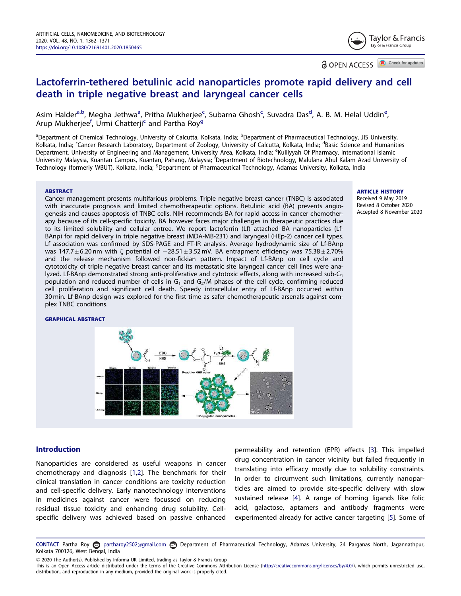Taylor & Francis Taylor & Francis Group

**a** OPEN ACCESS **D** Check for updates

# Lactoferrin-tethered betulinic acid nanoparticles promote rapid delivery and cell death in triple negative breast and laryngeal cancer cells

Asim Halder<sup>a,b</sup>, Megha Jethwa<sup>a</sup>, Pritha Mukherjee<sup>c</sup>, Subarna Ghosh<sup>c</sup>, Suvadra Das<sup>d</sup>, A. B. M. Helal Uddin<sup>e</sup>, Arup Mukherjee<sup>f</sup>, Urmi Chatterji<sup>c</sup> and Partha Roy<sup>g</sup>

<sup>a</sup>Department of Chemical Technology, University of Calcutta, Kolkata, India; <sup>b</sup>Department of Pharmaceutical Technology, JIS University, Kolkata, India; <sup>c</sup>Cancer Research Laboratory, Department of Zoology, University of Calcutta, Kolkata, India; <sup>d</sup>Basic Science and Humanities Department, University of Engineering and Management, University Area, Kolkata, India; <sup>e</sup>Kulliyyah Of Pharmacy, International Islamic University Malaysia, Kuantan Campus, Kuantan, Pahang, Malaysia; <sup>f</sup>Department of Biotechnology, Malulana Abul Kalam Azad University of Technology (formerly WBUT), Kolkata, India; <sup>g</sup>Department of Pharmaceutical Technology, Adamas University, Kolkata, India

#### ABSTRACT

#### ARTICLE HISTORY

Received 9 May 2019 Revised 8 October 2020 Accepted 8 November 2020

Cancer management presents multifarious problems. Triple negative breast cancer (TNBC) is associated with inaccurate prognosis and limited chemotherapeutic options. Betulinic acid (BA) prevents angiogenesis and causes apoptosis of TNBC cells. NIH recommends BA for rapid access in cancer chemotherapy because of its cell-specific toxicity. BA however faces major challenges in therapeutic practices due to its limited solubility and cellular entree. We report lactoferrin (Lf) attached BA nanoparticles (Lf-BAnp) for rapid delivery in triple negative breast (MDA-MB-231) and laryngeal (HEp-2) cancer cell types. Lf association was confirmed by SDS-PAGE and FT-IR analysis. Average hydrodynamic size of Lf-BAnp was 147.7  $\pm$  6.20 nm with  $\zeta$  potential of  $-28.51 \pm 3.52$  mV. BA entrapment efficiency was 75.38  $\pm$  2.70% and the release mechanism followed non-fickian pattern. Impact of Lf-BAnp on cell cycle and cytotoxicity of triple negative breast cancer and its metastatic site laryngeal cancer cell lines were analyzed. Lf-BAnp demonstrated strong anti-proliferative and cytotoxic effects, along with increased sub- $G_1$ population and reduced number of cells in  $G_1$  and  $G_2/M$  phases of the cell cycle, confirming reduced cell proliferation and significant cell death. Speedy intracellular entry of Lf-BAnp occurred within 30 min. Lf-BAnp design was explored for the first time as safer chemotherapeutic arsenals against complex TNBC conditions.

#### GRAPHICAL ABSTRACT



#### Introduction

Nanoparticles are considered as useful weapons in cancer chemotherapy and diagnosis [1,2]. The benchmark for their clinical translation in cancer conditions are toxicity reduction and cell-specific delivery. Early nanotechnology interventions in medicines against cancer were focussed on reducing residual tissue toxicity and enhancing drug solubility. Cellspecific delivery was achieved based on passive enhanced

permeability and retention (EPR) effects [3]. This impelled drug concentration in cancer vicinity but failed frequently in translating into efficacy mostly due to solubility constraints. In order to circumvent such limitations, currently nanoparticles are aimed to provide site-specific delivery with slow sustained release [4]. A range of homing ligands like folic acid, galactose, aptamers and antibody fragments were experimented already for active cancer targeting [5]. Some of

CONTACT Partha Roy partharoy2502@gmail.com Department of Pharmaceutical Technology, Adamas University, 24 Parganas North, Jagannathpur, Kolkata 700126, West Bengal, India

2020 The Author(s). Published by Informa UK Limited, trading as Taylor & Francis Group

This is an Open Access article distributed under the terms of the Creative Commons Attribution License (http://creativecommons.org/licenses/by/4.0/), which permits unrestricted use, distribution, and reproduction in any medium, provided the original work is properly cited.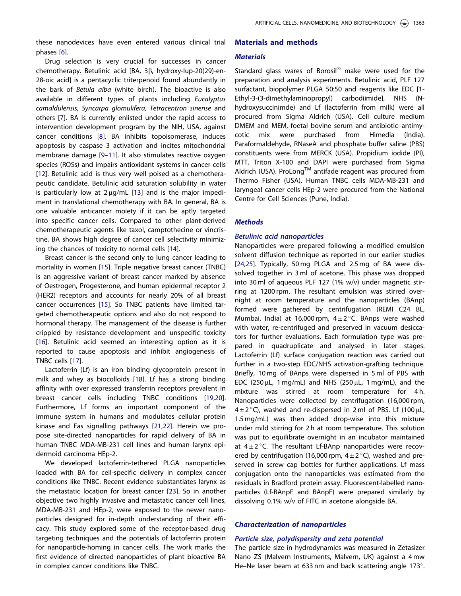these nanodevices have even entered various clinical trial phases [6].

Drug selection is very crucial for successes in cancer chemotherapy. Betulinic acid [BA, 3β, hydroxy-lup-20(29)-en-28-oic acid] is a pentacyclic triterpenoid found abundantly in the bark of Betula alba (white birch). The bioactive is also available in different types of plants including Eucalyptus camaldulensis, Syncarpa glomulifera, Tetracentron sinense and others [7]. BA is currently enlisted under the rapid access to intervention development program by the NIH, USA, against cancer conditions [8]. BA inhibits topoisomerase, induces apoptosis by caspase 3 activation and incites mitochondrial membrane damage [9–11]. It also stimulates reactive oxygen species (ROSs) and impairs antioxidant systems in cancer cells [12]. Betulinic acid is thus very well poised as a chemotherapeutic candidate. Betulinic acid saturation solubility in water is particularly low at  $2 \mu q/mL$  [13] and is the major impediment in translational chemotherapy with BA. In general, BA is one valuable anticancer moiety if it can be aptly targeted into specific cancer cells. Compared to other plant-derived chemotherapeutic agents like taxol, camptothecine or vincristine, BA shows high degree of cancer cell selectivity minimizing the chances of toxicity to normal cells [14].

Breast cancer is the second only to lung cancer leading to mortality in women [15]. Triple negative breast cancer (TNBC) is an aggressive variant of breast cancer marked by absence of Oestrogen, Progesterone, and human epidermal receptor 2 (HER2) receptors and accounts for nearly 20% of all breast cancer occurrences [15]. So TNBC patients have limited targeted chemotherapeutic options and also do not respond to hormonal therapy. The management of the disease is further crippled by resistance development and unspecific toxicity [16]. Betulinic acid seemed an interesting option as it is reported to cause apoptosis and inhibit angiogenesis of TNBC cells [17].

Lactoferrin (Lf) is an iron binding glycoprotein present in milk and whey as biocolloids [18]. Lf has a strong binding affinity with over expressed transferrin receptors prevalent in breast cancer cells including TNBC conditions [19,20]. Furthermore, Lf forms an important component of the immune system in humans and modulates cellular protein kinase and Fas signalling pathways [21,22]. Herein we propose site-directed nanoparticles for rapid delivery of BA in human TNBC MDA-MB-231 cell lines and human larynx epidermoid carcinoma HEp-2.

We developed lactoferrin-tethered PLGA nanoparticles loaded with BA for cell-specific delivery in complex cancer conditions like TNBC. Recent evidence substantiates larynx as the metastatic location for breast cancer [23]. So in another objective two highly invasive and metastatic cancer cell lines, MDA-MB-231 and HEp-2, were exposed to the newer nanoparticles designed for in-depth understanding of their efficacy. This study explored some of the receptor-based drug targeting techniques and the potentials of lactoferrin protein for nanoparticle-homing in cancer cells. The work marks the first evidence of directed nanoparticles of plant bioactive BA in complex cancer conditions like TNBC.

# Materials and methods

#### **Materials**

Standard glass wares of Borosil® make were used for the preparation and analysis experiments. Betulinic acid, PLF 127 surfactant, biopolymer PLGA 50:50 and reagents like EDC [1- Ethyl-3-(3-dimethylaminopropyl) carbodiimide], NHS (Nhydroxysuccinimde) and Lf (lactoferrin from milk) were all procured from Sigma Aldrich (USA). Cell culture medium DMEM and MEM, foetal bovine serum and antibiotic–antimycotic mix were purchased from Himedia (India). Paraformaldehyde, RNaseA and phosphate buffer saline (PBS) constituents were from MERCK (USA). Propidium iodide (PI), MTT, Triton X-100 and DAPI were purchased from Sigma Aldrich (USA). ProLong<sup>TM</sup> antifade reagent was procured from Thermo Fisher (USA). Human TNBC cells MDA-MB-231 and laryngeal cancer cells HEp-2 were procured from the National Centre for Cell Sciences (Pune, India).

#### **Methods**

#### Betulinic acid nanoparticles

Nanoparticles were prepared following a modified emulsion solvent diffusion technique as reported in our earlier studies [24,25]. Typically, 50 mg PLGA and 2.5 mg of BA were dissolved together in 3 ml of acetone. This phase was dropped into 30 ml of aqueous PLF 127 (1% w/v) under magnetic stirring at 1200 rpm. The resultant emulsion was stirred overnight at room temperature and the nanoparticles (BAnp) formed were gathered by centrifugation (REMI C24 BL, Mumbai, India) at 16,000 rpm,  $4 \pm 2^{\circ}$ C. BAnps were washed with water, re-centrifuged and preserved in vacuum desiccators for further evaluations. Each formulation type was prepared in quadruplicate and analysed in later stages. Lactoferrin (Lf) surface conjugation reaction was carried out further in a two-step EDC/NHS activation-grafting technique. Briefly, 10 mg of BAnps were dispersed in 5 ml of PBS with EDC (250  $\mu$ L, 1 mg/mL) and NHS (250  $\mu$ L, 1 mg/mL), and the mixture was stirred at room temperature for 4 h. Nanoparticles were collected by centrifugation (16,000 rpm,  $4\pm2\degree$ C), washed and re-dispersed in 2 ml of PBS. Lf (100 µL, 1.5 mg/mL) was then added drop-wise into this mixture under mild stirring for 2 h at room temperature. This solution was put to equilibrate overnight in an incubator maintained at  $4\pm2$  °C. The resultant Lf-BAnp nanoparticles were recovered by centrifugation (16,000 rpm,  $4 \pm 2^{\circ}$ C), washed and preserved in screw cap bottles for further applications. Lf mass conjugation onto the nanoparticles was estimated from the residuals in Bradford protein assay. Fluorescent-labelled nanoparticles (Lf-BAnpF and BAnpF) were prepared similarly by dissolving 0.1% w/v of FITC in acetone alongside BA.

#### Characterization of nanoparticles

# Particle size, polydispersity and zeta potential

The particle size in hydrodynamics was measured in Zetasizer Nano ZS (Malvern Instruments, Malvern, UK) against a 4 mw He–Ne laser beam at 633 nm and back scattering angle 173°.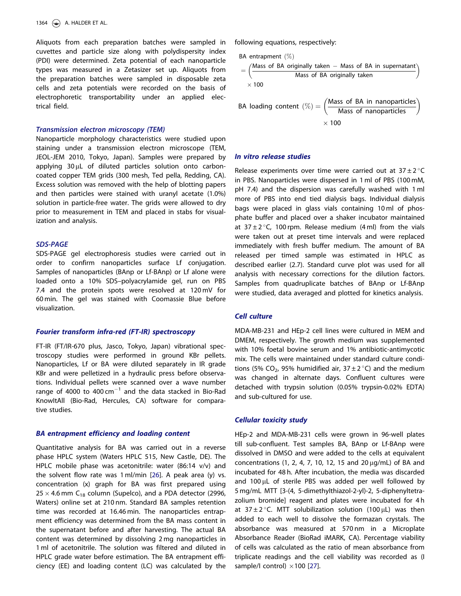Aliquots from each preparation batches were sampled in cuvettes and particle size along with polydispersity index (PDI) were determined. Zeta potential of each nanoparticle types was measured in a Zetasizer set up. Aliquots from the preparation batches were sampled in disposable zeta cells and zeta potentials were recorded on the basis of electrophoretic transportability under an applied electrical field.

#### Transmission electron microscopy (TEM)

Nanoparticle morphology characteristics were studied upon staining under a transmission electron microscope (TEM, JEOL-JEM 2010, Tokyo, Japan). Samples were prepared by applying  $30 \mu L$  of diluted particles solution onto carboncoated copper TEM grids (300 mesh, Ted pella, Redding, CA). Excess solution was removed with the help of blotting papers and then particles were stained with uranyl acetate (1.0%) solution in particle-free water. The grids were allowed to dry prior to measurement in TEM and placed in stabs for visualization and analysis.

# SDS-PAGE

SDS-PAGE gel electrophoresis studies were carried out in order to confirm nanoparticles surface Lf conjugation. Samples of nanoparticles (BAnp or Lf-BAnp) or Lf alone were loaded onto a 10% SDS–polyacrylamide gel, run on PBS 7.4 and the protein spots were resolved at 120 mV for 60 min. The gel was stained with Coomassie Blue before visualization.

#### Fourier transform infra-red (FT-IR) spectroscopy

FT-IR (FT/IR-670 plus, Jasco, Tokyo, Japan) vibrational spectroscopy studies were performed in ground KBr pellets. Nanoparticles, Lf or BA were diluted separately in IR grade KBr and were pelletized in a hydraulic press before observations. Individual pellets were scanned over a wave number range of 4000 to 400  $cm^{-1}$  and the data stacked in Bio-Rad KnowItAll (Bio-Rad, Hercules, CA) software for comparative studies.

#### BA entrapment efficiency and loading content

Quantitative analysis for BA was carried out in a reverse phase HPLC system (Waters HPLC 515, New Castle, DE). The HPLC mobile phase was acetonitrile: water (86:14 v/v) and the solvent flow rate was 1 ml/min [26]. A peak area (y) vs. concentration (x) graph for BA was first prepared using  $25 \times 4.6$  mm C<sub>18</sub> column (Supelco), and a PDA detector (2996, Waters) online set at 210 nm. Standard BA samples retention time was recorded at 16.46 min. The nanoparticles entrapment efficiency was determined from the BA mass content in the supernatant before and after harvesting. The actual BA content was determined by dissolving 2 mg nanoparticles in 1 ml of acetonitrile. The solution was filtered and diluted in HPLC grade water before estimation. The BA entrapment efficiency (EE) and loading content (LC) was calculated by the

following equations, respectively:

BA entrapment (%)
$$
= \left(\frac{\text{Mass of BA originally taken} - \text{Mass of BA in supernatant}}{\text{Mass of BA originally taken}}\right)
$$

$$
\times 100
$$

BA loading content 
$$
(\%) = \left(\frac{\text{Mass of BA in nanoparticles}}{\text{Mass of nanoparticles}}\right)
$$
  
× 100

#### In vitro release studies

Release experiments over time were carried out at  $37 \pm 2^{\circ}$ C in PBS. Nanoparticles were dispersed in 1 ml of PBS (100 mM, pH 7.4) and the dispersion was carefully washed with 1 ml more of PBS into end tied dialysis bags. Individual dialysis bags were placed in glass vials containing 10 ml of phosphate buffer and placed over a shaker incubator maintained at  $37 \pm 2^{\circ}$ C, 100 rpm. Release medium (4 ml) from the vials were taken out at preset time intervals and were replaced immediately with fresh buffer medium. The amount of BA released per timed sample was estimated in HPLC as described earlier (2.7). Standard curve plot was used for all analysis with necessary corrections for the dilution factors. Samples from quadruplicate batches of BAnp or Lf-BAnp were studied, data averaged and plotted for kinetics analysis.

#### Cell culture

MDA-MB-231 and HEp-2 cell lines were cultured in MEM and DMEM, respectively. The growth medium was supplemented with 10% foetal bovine serum and 1% antibiotic-antimycotic mix. The cells were maintained under standard culture conditions (5% CO<sub>2</sub>, 95% humidified air, 37  $\pm$  2 °C) and the medium was changed in alternate days. Confluent cultures were detached with trypsin solution (0.05% trypsin-0.02% EDTA) and sub-cultured for use.

#### Cellular toxicity study

HEp-2 and MDA-MB-231 cells were grown in 96-well plates till sub-confluent. Test samples BA, BAnp or Lf-BAnp were dissolved in DMSO and were added to the cells at equivalent concentrations (1, 2, 4, 7, 10, 12, 15 and 20  $\mu$ g/mL) of BA and incubated for 48 h. After incubation, the media was discarded and 100 µL of sterile PBS was added per well followed by 5 mg/mL MTT [3-(4, 5-dimethylthiazol-2-yl)-2, 5-diphenyltetrazolium bromide] reagent and plates were incubated for 4 h at  $37 \pm 2^{\circ}$ C. MTT solubilization solution (100 µL) was then added to each well to dissolve the formazan crystals. The absorbance was measured at 570 nm in a Microplate Absorbance Reader (BioRad iMARK, CA). Percentage viability of cells was calculated as the ratio of mean absorbance from triplicate readings and the cell viability was recorded as (I sample/I control)  $\times$ 100 [27].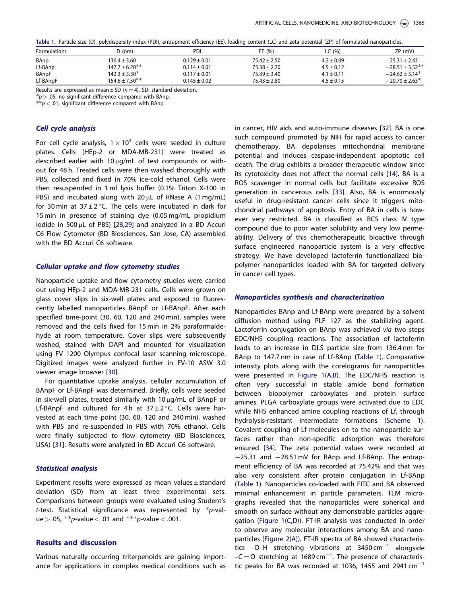Table 1. Particle size (D), polydispersity index (PDI), entrapment efficiency (EE), loading content (LC) and zeta potential (ZP) of formulated nanoparticles.

| <b>Formulations</b> | ) (nm)              | PDI              | EE(96)           | LC (%)         | ZP (mV)                        |
|---------------------|---------------------|------------------|------------------|----------------|--------------------------------|
| BAnp                | $136.4 \pm 3.60$    | $0.129 \pm 0.01$ | $75.42 \pm 2.50$ | $4.2 \pm 0.09$ | $-25.31 \pm 2.43$              |
| Lf-BAnp             | $147.7 \pm 6.20$ ** | $0.114 \pm 0.01$ | $75.38 \pm 2.70$ | $4.5 \pm 0.12$ | $-28.51 \pm 3.52$ **           |
| BAnpF               | $142.3 \pm 3.30^*$  | $0.117 \pm 0.01$ | $75.39 \pm 3.40$ | $4.1 \pm 0.11$ | $-24.62 \pm 3.14^*$            |
| Lf-BAnpF            | $154.6 \pm 7.50**$  | $0.145 \pm 0.02$ | $75.43 \pm 2.80$ | $4.5 \pm 0.15$ | $-20.70 \pm 2.63$ <sup>*</sup> |

Results are expressed as mean  $\pm$  SD ( $n = 4$ ). SD: standard deviation.

 $p > 0.05$ , no significant difference compared with BAnp.

 $**p < .01$ , significant difference compared with BAnp.

# Cell cycle analysis

For cell cycle analysis,  $1 \times 10^4$  cells were seeded in culture plates. Cells (HEp-2 or MDA-MB-231) were treated as described earlier with 10  $\mu$ g/mL of test compounds or without for 48 h. Treated cells were then washed thoroughly with PBS, collected and fixed in 70% ice-cold ethanol. Cells were then resuspended in 1 ml lysis buffer (0.1% Triton X-100 in PBS) and incubated along with  $20 \mu$ L of RNase A (1 mg/mL) for 30 min at  $37 \pm 2$  °C. The cells were incubated in dark for 15 min in presence of staining dye (0.05 mg/mL propidium iodide in 500  $\mu$ L of PBS) [28,29] and analyzed in a BD Accuri C6 Flow Cytometer (BD Biosciences, San Jose, CA) assembled with the BD Accuri C6 software.

### Cellular uptake and flow cytometry studies

Nanoparticle uptake and flow cytometry studies were carried out using HEp-2 and MDA-MB-231 cells. Cells were grown on glass cover slips in six-well plates and exposed to fluorescently labelled nanoparticles BAnpF or Lf-BAnpF. After each specified time-point (30, 60, 120 and 240 min), samples were removed and the cells fixed for 15 min in 2% paraformaldehyde at room temperature. Cover slips were subsequently washed, stained with DAPI and mounted for visualization using FV 1200 Olympus confocal laser scanning microscope. Digitized images were analyzed further in FV-10 ASW 3.0 viewer image browser [30].

For quantitative uptake analysis, cellular accumulation of BAnpF or Lf-BAnpF was determined. Briefly, cells were seeded in six-well plates, treated similarly with  $10 \mu q/mL$  of BAnpF or Lf-BAnpF and cultured for 4 h at  $37 \pm 2$  °C. Cells were harvested at each time point (30, 60, 120 and 240 min), washed with PBS and re-suspended in PBS with 70% ethanol. Cells were finally subjected to flow cytometry (BD Biosciences, USA) [31]. Results were analyzed in BD Accuri C6 software.

#### Statistical analysis

Experiment results were expressed as mean values ± standard deviation (SD) from at least three experimental sets. Comparisons between groups were evaluated using Student's t-test. Statistical significance was represented by  $p$ -value > .05, \*\*p-value < .01 and \*\*\*p-value < .001.

# Results and discussion

Various naturally occurring triterpenoids are gaining importance for applications in complex medical conditions such as in cancer, HIV aids and auto-immune diseases [32]. BA is one such compound promoted by NIH for rapid access to cancer chemotherapy. BA depolarises mitochondrial membrane potential and induces caspase-independent apoptotic cell death. The drug exhibits a broader therapeutic window since its cytotoxicity does not affect the normal cells [14]. BA is a ROS scavenger in normal cells but facilitate excessive ROS generation in cancerous cells [33]. Also, BA is enormously useful in drug-resistant cancer cells since it triggers mitochondrial pathways of apoptosis. Entry of BA in cells is however very restricted. BA is classified as BCS class IV type compound due to poor water solubility and very low permeability. Delivery of this chemotherapeutic bioactive through surface engineered nanoparticle system is a very effective strategy. We have developed lactoferrin functionalized biopolymer nanoparticles loaded with BA for targeted delivery in cancer cell types.

#### Nanoparticles synthesis and characterization

Nanoparticles BAnp and Lf-BAnp were prepared by a solvent diffusion method using PLF 127 as the stabilizing agent. Lactoferrin conjugation on BAnp was achieved via two steps EDC/NHS coupling reactions. The association of lactoferrin leads to an increase in DLS particle size from 136.4 nm for BAnp to 147.7 nm in case of Lf-BAnp (Table 1). Comparative intensity plots along with the corelograms for nanoparticles were presented in Figure 1(A,B). The EDC/NHS reaction is often very successful in stable amide bond formation between biopolymer carboxylates and protein surface amines. PLGA carboxylate groups were activated due to EDC while NHS enhanced amine coupling reactions of Lf, through hydrolysis-resistant intermediate formations (Scheme 1). Covalent coupling of Lf molecules on to the nanoparticle surfaces rather than non-specific adsorption was therefore ensured [34]. The zeta potential values were recorded at  $-25.31$  and  $-28.51$  mV for BAnp and Lf-BAnp. The entrapment efficiency of BA was recorded at 75.42% and that was also very consistent after protein conjugation in Lf-BAnp (Table 1). Nanoparticles co-loaded with FITC and BA observed minimal enhancement in particle parameters. TEM micrographs revealed that the nanoparticles were spherical and smooth on surface without any demonstrable particles aggregation (Figure 1(C,D)). FT-IR analysis was conducted in order to observe any molecular interactions among BA and nanoparticles (Figure 2(A)). FT-IR spectra of BA showed characteristics  $-O-H$  stretching vibrations at 3450 cm<sup>-1</sup> alongside  $-C = O$  stretching at 1689 cm<sup>-1</sup>. The presence of characteristic peaks for BA was recorded at 1036, 1455 and 2941  $cm^{-1}$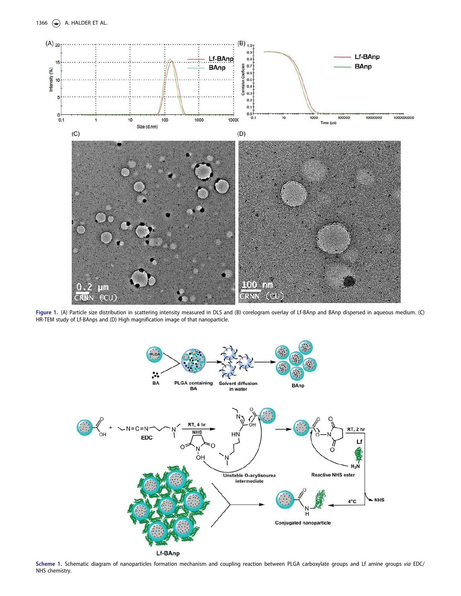

Figure 1. (A) Particle size distribution in scattering intensity measured in DLS and (B) corelogram overlay of Lf-BAnp and BAnp dispersed in aqueous medium. (C) HR-TEM study of Lf-BAnps and (D) High magnification image of that nanoparticle.



Scheme 1. Schematic diagram of nanoparticles formation mechanism and coupling reaction between PLGA carboxylate groups and Lf amine groups via EDC/ NHS chemistry.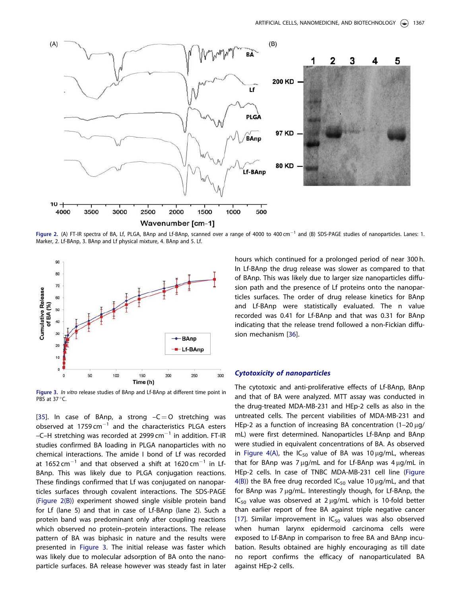

Figure 2. (A) FT-IR spectra of BA, Lf, PLGA, BAnp and Lf-BAnp, scanned over a range of 4000 to 400 cm<sup>-1</sup> and (B) SDS-PAGE studies of nanoparticles. Lanes: 1. Marker, 2. Lf-BAnp, 3. BAnp and Lf physical mixture, 4. BAnp and 5. Lf.



Figure 3. In vitro release studies of BAnp and Lf-BAnp at different time point in PBS at 37 °C.

[35]. In case of BAnp, a strong  $-C=O$  stretching was observed at  $1759 \text{ cm}^{-1}$  and the characteristics PLGA esters –C–H stretching was recorded at 2999 cm $^{-1}$  in addition. FT-IR studies confirmed BA loading in PLGA nanoparticles with no chemical interactions. The amide I bond of Lf was recorded at 1652 cm $^{-1}$  and that observed a shift at 1620 cm $^{-1}$  in Lf-BAnp. This was likely due to PLGA conjugation reactions. These findings confirmed that Lf was conjugated on nanoparticles surfaces through covalent interactions. The SDS-PAGE (Figure 2(B)) experiment showed single visible protein band for Lf (lane 5) and that in case of Lf-BAnp (lane 2). Such a protein band was predominant only after coupling reactions which observed no protein–protein interactions. The release pattern of BA was biphasic in nature and the results were presented in Figure 3. The initial release was faster which was likely due to molecular adsorption of BA onto the nanoparticle surfaces. BA release however was steady fast in later hours which continued for a prolonged period of near 300 h. In Lf-BAnp the drug release was slower as compared to that of BAnp. This was likely due to larger size nanoparticles diffusion path and the presence of Lf proteins onto the nanoparticles surfaces. The order of drug release kinetics for BAnp and Lf-BAnp were statistically evaluated. The n value recorded was 0.41 for Lf-BAnp and that was 0.31 for BAnp indicating that the release trend followed a non-Fickian diffusion mechanism [36].

#### Cytotoxicity of nanoparticles

The cytotoxic and anti-proliferative effects of Lf-BAnp, BAnp and that of BA were analyzed. MTT assay was conducted in the drug-treated MDA-MB-231 and HEp-2 cells as also in the untreated cells. The percent viabilities of MDA-MB-231 and HEp-2 as a function of increasing BA concentration  $(1-20 \mu g)$ mL) were first determined. Nanoparticles Lf-BAnp and BAnp were studied in equivalent concentrations of BA. As observed in Figure 4(A), the  $IC_{50}$  value of BA was 10  $\mu$ g/mL, whereas that for BAnp was  $7 \mu g/mL$  and for Lf-BAnp was  $4 \mu g/mL$  in HEp-2 cells. In case of TNBC MDA-MB-231 cell line (Figure  $4(B)$ ) the BA free drug recorded  $IC_{50}$  value 10  $\mu$ g/mL, and that for BAnp was  $7 \mu g/mL$ . Interestingly though, for Lf-BAnp, the  $IC_{50}$  value was observed at 2  $\mu$ g/mL which is 10-fold better than earlier report of free BA against triple negative cancer [17]. Similar improvement in  $IC_{50}$  values was also observed when human larynx epidermoid carcinoma cells were exposed to Lf-BAnp in comparison to free BA and BAnp incubation. Results obtained are highly encouraging as till date no report confirms the efficacy of nanoparticulated BA against HEp-2 cells.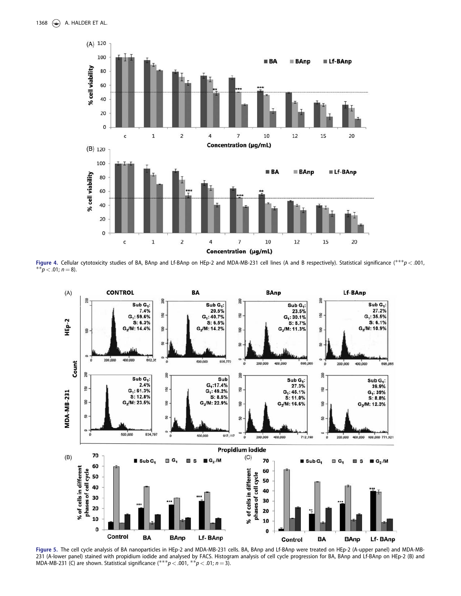

Figure 4. Cellular cytotoxicity studies of BA, BAnp and Lf-BAnp on HEp-2 and MDA-MB-231 cell lines (A and B respectively). Statistical significance (\*\*\*p < .001, \*\* $p < .01; n = 8$ ).



Figure 5. The cell cycle analysis of BA nanoparticles in HEp-2 and MDA-MB-231 cells. BA, BAnp and Lf-BAnp were treated on HEp-2 (A-upper panel) and MDA-MB-231 (A-lower panel) stained with propidium iodide and analysed by FACS. Histogram analysis of cell cycle progression for BA, BAnp and Lf-BAnp on HEp-2 (B) and MDA-MB-231 (C) are shown. Statistical significance  $(***p<.001, **p<.01; n=3)$ .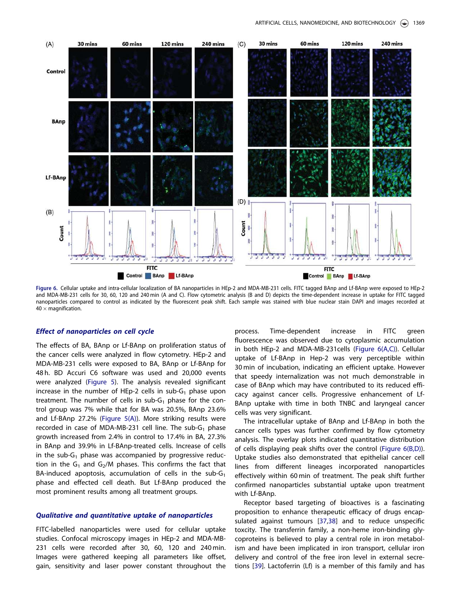

Figure 6. Cellular uptake and intra-cellular localization of BA nanoparticles in HEp-2 and MDA-MB-231 cells. FITC tagged BAnp and Lf-BAnp were exposed to HEp-2 and MDA-MB-231 cells for 30, 60, 120 and 240 min (A and C). Flow cytometric analysis (B and D) depicts the time-dependent increase in uptake for FITC tagged nanoparticles compared to control as indicated by the fluorescent peak shift. Each sample was stained with blue nuclear stain DAPI and images recorded at  $40 \times$  magnification.

#### Effect of nanoparticles on cell cycle

The effects of BA, BAnp or Lf-BAnp on proliferation status of the cancer cells were analyzed in flow cytometry. HEp-2 and MDA-MB-231 cells were exposed to BA, BAnp or Lf-BAnp for 48 h. BD Accuri C6 software was used and 20,000 events were analyzed (Figure 5). The analysis revealed significant increase in the number of HEp-2 cells in sub- $G_1$  phase upon treatment. The number of cells in sub- $G_1$  phase for the control group was 7% while that for BA was 20.5%, BAnp 23.6% and Lf-BAnp 27.2% (Figure 5(A)). More striking results were recorded in case of MDA-MB-231 cell line. The sub-G<sub>1</sub> phase growth increased from 2.4% in control to 17.4% in BA, 27.3% in BAnp and 39.9% in Lf-BAnp-treated cells. Increase of cells in the sub-G<sub>1</sub> phase was accompanied by progressive reduction in the  $\mathsf{G}_1$  and  $\mathsf{G}_2/\mathsf{M}$  phases. This confirms the fact that BA-induced apoptosis, accumulation of cells in the sub-G<sub>1</sub> phase and effected cell death. But Lf-BAnp produced the most prominent results among all treatment groups.

#### Qualitative and quantitative uptake of nanoparticles

FITC-labelled nanoparticles were used for cellular uptake studies. Confocal microscopy images in HEp-2 and MDA-MB-231 cells were recorded after 30, 60, 120 and 240 min. Images were gathered keeping all parameters like offset, gain, sensitivity and laser power constant throughout the

process. Time-dependent increase in FITC green fluorescence was observed due to cytoplasmic accumulation in both HEp-2 and MDA-MB-231cells (Figure 6(A,C)). Cellular uptake of Lf-BAnp in Hep-2 was very perceptible within 30 min of incubation, indicating an efficient uptake. However that speedy internalization was not much demonstrable in case of BAnp which may have contributed to its reduced efficacy against cancer cells. Progressive enhancement of Lf-BAnp uptake with time in both TNBC and laryngeal cancer cells was very significant.

The intracellular uptake of BAnp and Lf-BAnp in both the cancer cells types was further confirmed by flow cytometry analysis. The overlay plots indicated quantitative distribution of cells displaying peak shifts over the control (Figure 6(B,D)). Uptake studies also demonstrated that epithelial cancer cell lines from different lineages incorporated nanoparticles effectively within 60 min of treatment. The peak shift further confirmed nanoparticles substantial uptake upon treatment with Lf-BAnp.

Receptor based targeting of bioactives is a fascinating proposition to enhance therapeutic efficacy of drugs encapsulated against tumours [37,38] and to reduce unspecific toxcity. The transferrin family, a non-heme iron-binding glycoproteins is believed to play a central role in iron metabolism and have been implicated in iron transport, cellular iron delivery and control of the free iron level in external secretions [39]. Lactoferrin (Lf) is a member of this family and has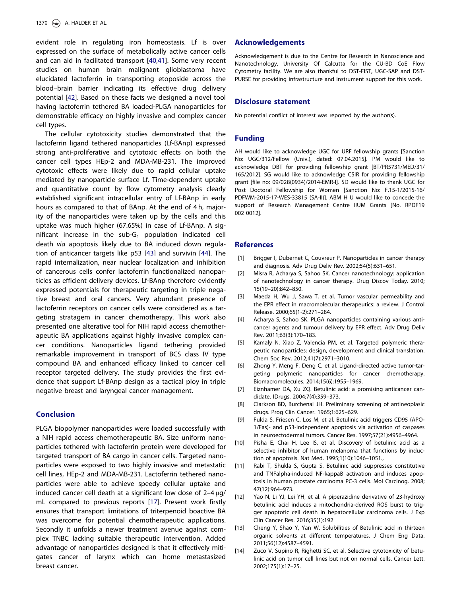evident role in regulating iron homeostasis. Lf is over expressed on the surface of metabolically active cancer cells and can aid in facilitated transport [40,41]. Some very recent studies on human brain malignant glioblastoma have elucidated lactoferrin in transporting etoposide across the blood–brain barrier indicating its effective drug delivery potential [42]. Based on these facts we designed a novel tool having lactoferrin tethered BA loaded-PLGA nanoparticles for demonstrable efficacy on highly invasive and complex cancer cell types.

The cellular cytotoxicity studies demonstrated that the lactoferrin ligand tethered nanoparticles (Lf-BAnp) expressed strong anti-proliferative and cytotoxic effects on both the cancer cell types HEp-2 and MDA-MB-231. The improved cytotoxic effects were likely due to rapid cellular uptake mediated by nanoparticle surface Lf. Time-dependent uptake and quantitative count by flow cytometry analysis clearly established significant intracellular entry of Lf-BAnp in early hours as compared to that of BAnp. At the end of 4 h, majority of the nanoparticles were taken up by the cells and this uptake was much higher (67.65%) in case of Lf-BAnp. A significant increase in the sub- $G_1$  population indicated cell death via apoptosis likely due to BA induced down regulation of anticancer targets like p53 [43] and survivin [44]. The rapid internalization, near nuclear localization and inhibition of cancerous cells confer lactoferrin functionalized nanoparticles as efficient delivery devices. Lf-BAnp therefore evidently expressed potentials for therapeutic targeting in triple negative breast and oral cancers. Very abundant presence of lactoferrin receptors on cancer cells were considered as a targeting stratagem in cancer chemotherapy. This work also presented one alterative tool for NIH rapid access chemotherapeutic BA applications against highly invasive complex cancer conditions. Nanoparticles ligand tethering provided remarkable improvement in transport of BCS class IV type compound BA and enhanced efficacy linked to cancer cell receptor targeted delivery. The study provides the first evidence that support Lf-BAnp design as a tactical ploy in triple negative breast and laryngeal cancer management.

# Conclusion

PLGA biopolymer nanoparticles were loaded successfully with a NIH rapid access chemotherapeutic BA. Size uniform nanoparticles tethered with lactoferrin protein were developed for targeted transport of BA cargo in cancer cells. Targeted nanoparticles were exposed to two highly invasive and metastatic cell lines, HEp-2 and MDA-MB-231. Lactoferrin tethered nanoparticles were able to achieve speedy cellular uptake and induced cancer cell death at a significant low dose of  $2-4 \mu g$ / mL compared to previous reports [17]. Present work firstly ensures that transport limitations of triterpenoid boactive BA was overcome for potential chemotherapeutic applications. Secondly it unfolds a newer treatment avenue against complex TNBC lacking suitable therapeutic intervention. Added advantage of nanoparticles designed is that it effectively mitigates cancer of larynx which can home metastasized breast cancer.

# Acknowledgements

Acknowledgement is due to the Centre for Research in Nanoscience and Nanotechnology, University Of Calcutta for the CU-BD CoE Flow Cytometry facility. We are also thankful to DST-FIST, UGC-SAP and DST-PURSE for providing infrastructure and instrument support for this work.

#### Disclosure statement

No potential conflict of interest was reported by the author(s).

#### Funding

AH would like to acknowledge UGC for URF fellowship grants [Sanction No: UGC/312/Fellow (Univ.), dated: 07.04.2015]. PM would like to acknowledge DBT for providing fellowship grant [BT/PR5731/MED/31/ 165/2012]. SG would like to acknowledge CSIR for providing fellowship grant [file no: 09/028(0934)/2014-EMR-I]. SD would like to thank UGC for Post Doctoral Fellowship for Women [Sanction No: F.15-1/2015-16/ PDFWM-2015-17-WES-33815 (SA-II)]. ABM H U would like to concede the support of Research Management Centre IIUM Grants [No. RPDF19 002 0012].

#### **References**

- [1] Brigger I, Dubernet C, Couvreur P. Nanoparticles in cancer therapy and diagnosis. Adv Drug Deliv Rev. 2002;54(5):631–651.
- [2] Misra R, Acharya S, Sahoo SK. Cancer nanotechnology: application of nanotechnology in cancer therapy. Drug Discov Today. 2010; 15(19–20):842–850.
- [3] Maeda H, Wu J, Sawa T, et al. Tumor vascular permeability and the EPR effect in macromolecular therapeutics: a review. J Control Release. 2000;65(1-2):271–284.
- [4] Acharya S, Sahoo SK. PLGA nanoparticles containing various anticancer agents and tumour delivery by EPR effect. Adv Drug Deliv Rev. 2011;63(3):170–183.
- [5] Kamaly N, Xiao Z, Valencia PM, et al. Targeted polymeric therapeutic nanoparticles: design, development and clinical translation. Chem Soc Rev. 2012;41(7):2971–3010.
- [6] Zhong Y, Meng F, Deng C, et al. Ligand-directed active tumor-targeting polymeric nanoparticles for cancer chemotherapy. Biomacromolecules. 2014;15(6):1955–1969.
- [7] Eiznhamer DA, Xu ZQ. Betulinic acid: a promising anticancer candidate. IDrugs. 2004;7(4):359–373.
- [8] Clarkson BD, Burchenal JH. Preliminary screening of antineoplasic drugs. Prog Clin Cancer. 1965;1:625–629.
- [9] Fulda S, Friesen C, Los M, et al. Betulinic acid triggers CD95 (APO-1/Fas)- and p53-independent apoptosis via activation of caspases in neuroectodermal tumors. Cancer Res. 1997;57(21):4956–4964.
- [10] Pisha E, Chai H, Lee IS, et al. Discovery of betulinic acid as a selective inhibitor of human melanoma that functions by induction of apoptosis. Nat Med. 1995;1(10):1046–1051.,
- [11] Rabi T, Shukla S, Gupta S. Betulinic acid suppresses constitutive and TNFalpha-induced NF-kappaB activation and induces apoptosis in human prostate carcinoma PC-3 cells. Mol Carcinog. 2008; 47(12):964–973.
- [12] Yao N, Li YJ, Lei YH, et al. A piperazidine derivative of 23-hydroxy betulinic acid induces a mitochondria-derived ROS burst to trigger apoptotic cell death in hepatocellular carcinoma cells. J Exp Clin Cancer Res. 2016;35(1):192
- [13] Cheng Y, Shao Y, Yan W. Solubilities of Betulinic acid in thirteen organic solvents at different temperatures. J Chem Eng Data. 2011;56(12):4587–4591.
- [14] Zuco V, Supino R, Righetti SC, et al. Selective cytotoxicity of betulinic acid on tumor cell lines but not on normal cells. Cancer Lett. 2002;175(1):17–25.